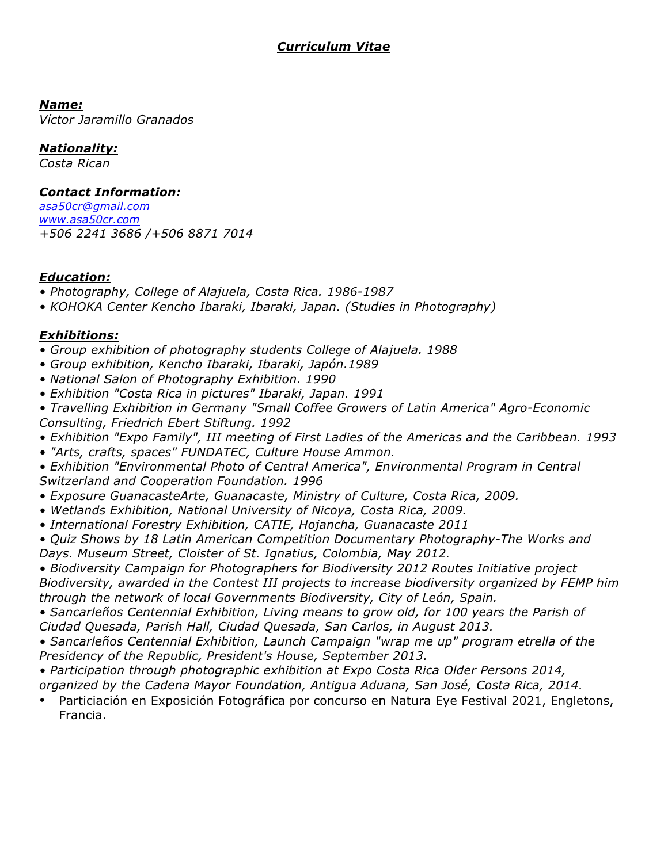### *Curriculum Vitae*

*Name:* 

*Víctor Jaramillo Granados* 

#### *Nationality:*

*Costa Rican*

#### *Contact Information:*

*asa50cr@gmail.com www.asa50cr.com +506 2241 3686 /+506 8871 7014* 

#### *Education:*

- *Photography, College of Alajuela, Costa Rica. 1986-1987*
- *KOHOKA Center Kencho Ibaraki, Ibaraki, Japan. (Studies in Photography)*

#### *Exhibitions:*

- *Group exhibition of photography students College of Alajuela. 1988*
- *Group exhibition, Kencho Ibaraki, Ibaraki, Japón.1989*
- *National Salon of Photography Exhibition. 1990*
- *Exhibition "Costa Rica in pictures" Ibaraki, Japan. 1991*
- *Travelling Exhibition in Germany "Small Coffee Growers of Latin America" Agro-Economic Consulting, Friedrich Ebert Stiftung. 1992*
- *Exhibition "Expo Family", III meeting of First Ladies of the Americas and the Caribbean. 1993*
- *"Arts, crafts, spaces" FUNDATEC, Culture House Ammon.*
- *Exhibition "Environmental Photo of Central America", Environmental Program in Central Switzerland and Cooperation Foundation. 1996*
- *Exposure GuanacasteArte, Guanacaste, Ministry of Culture, Costa Rica, 2009.*
- *Wetlands Exhibition, National University of Nicoya, Costa Rica, 2009.*
- *International Forestry Exhibition, CATIE, Hojancha, Guanacaste 2011*
- *Quiz Shows by 18 Latin American Competition Documentary Photography-The Works and Days. Museum Street, Cloister of St. Ignatius, Colombia, May 2012.*
- *Biodiversity Campaign for Photographers for Biodiversity 2012 Routes Initiative project Biodiversity, awarded in the Contest III projects to increase biodiversity organized by FEMP him through the network of local Governments Biodiversity, City of León, Spain.*
- Sancarleños Centennial Exhibition, Living means to grow old, for 100 years the Parish of *Ciudad Quesada, Parish Hall, Ciudad Quesada, San Carlos, in August 2013.*
- *Sancarleños Centennial Exhibition, Launch Campaign "wrap me up" program etrella of the Presidency of the Republic, President's House, September 2013.*
- *Participation through photographic exhibition at Expo Costa Rica Older Persons 2014,*
- *organized by the Cadena Mayor Foundation, Antigua Aduana, San José, Costa Rica, 2014.*
- Particiación en Exposición Fotográfica por concurso en Natura Eye Festival 2021, Engletons, Francia.